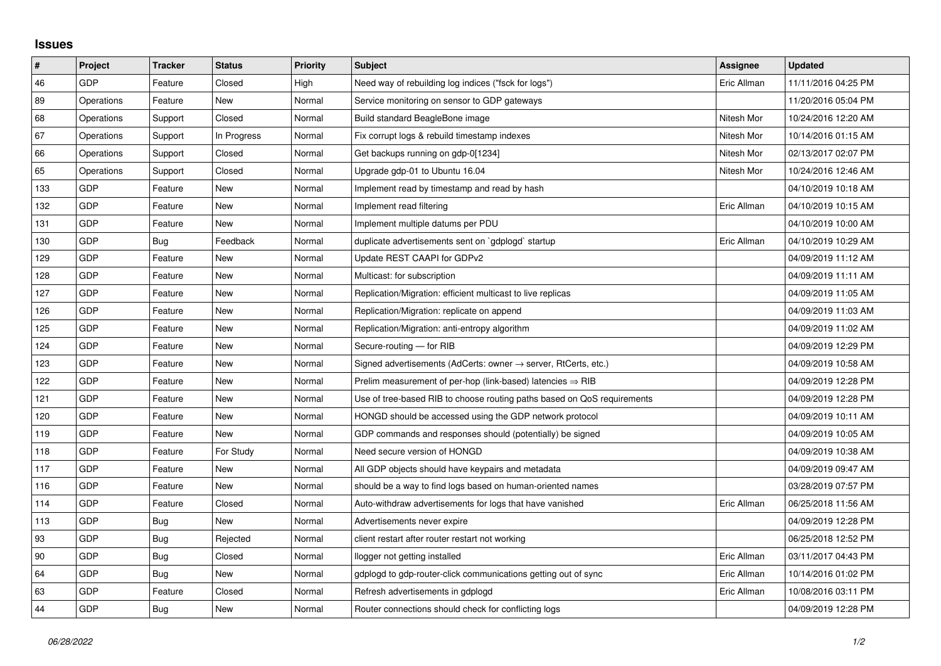## **Issues**

| $\vert$ # | Project    | <b>Tracker</b> | <b>Status</b> | <b>Priority</b> | <b>Subject</b>                                                             | <b>Assignee</b> | <b>Updated</b>      |
|-----------|------------|----------------|---------------|-----------------|----------------------------------------------------------------------------|-----------------|---------------------|
| 46        | GDP        | Feature        | Closed        | High            | Need way of rebuilding log indices ("fsck for logs")                       | Eric Allman     | 11/11/2016 04:25 PM |
| 89        | Operations | Feature        | New           | Normal          | Service monitoring on sensor to GDP gateways                               |                 | 11/20/2016 05:04 PM |
| 68        | Operations | Support        | Closed        | Normal          | Build standard BeagleBone image                                            | Nitesh Mor      | 10/24/2016 12:20 AM |
| 67        | Operations | Support        | In Progress   | Normal          | Fix corrupt logs & rebuild timestamp indexes                               | Nitesh Mor      | 10/14/2016 01:15 AM |
| 66        | Operations | Support        | Closed        | Normal          | Get backups running on gdp-0[1234]                                         | Nitesh Mor      | 02/13/2017 02:07 PM |
| 65        | Operations | Support        | Closed        | Normal          | Upgrade gdp-01 to Ubuntu 16.04                                             | Nitesh Mor      | 10/24/2016 12:46 AM |
| 133       | GDP        | Feature        | <b>New</b>    | Normal          | Implement read by timestamp and read by hash                               |                 | 04/10/2019 10:18 AM |
| 132       | GDP        | Feature        | New           | Normal          | Implement read filtering                                                   | Eric Allman     | 04/10/2019 10:15 AM |
| 131       | <b>GDP</b> | Feature        | New           | Normal          | Implement multiple datums per PDU                                          |                 | 04/10/2019 10:00 AM |
| 130       | GDP        | Bug            | Feedback      | Normal          | duplicate advertisements sent on `gdplogd` startup                         | Eric Allman     | 04/10/2019 10:29 AM |
| 129       | GDP        | Feature        | New           | Normal          | Update REST CAAPI for GDPv2                                                |                 | 04/09/2019 11:12 AM |
| 128       | GDP        | Feature        | New           | Normal          | Multicast: for subscription                                                |                 | 04/09/2019 11:11 AM |
| 127       | GDP        | Feature        | <b>New</b>    | Normal          | Replication/Migration: efficient multicast to live replicas                |                 | 04/09/2019 11:05 AM |
| 126       | GDP        | Feature        | New           | Normal          | Replication/Migration: replicate on append                                 |                 | 04/09/2019 11:03 AM |
| 125       | GDP        | Feature        | New           | Normal          | Replication/Migration: anti-entropy algorithm                              |                 | 04/09/2019 11:02 AM |
| 124       | GDP        | Feature        | <b>New</b>    | Normal          | Secure-routing - for RIB                                                   |                 | 04/09/2019 12:29 PM |
| 123       | GDP        | Feature        | New           | Normal          | Signed advertisements (AdCerts: owner $\rightarrow$ server, RtCerts, etc.) |                 | 04/09/2019 10:58 AM |
| 122       | GDP        | Feature        | New           | Normal          | Prelim measurement of per-hop (link-based) latencies $\Rightarrow$ RIB     |                 | 04/09/2019 12:28 PM |
| 121       | GDP        | Feature        | <b>New</b>    | Normal          | Use of tree-based RIB to choose routing paths based on QoS requirements    |                 | 04/09/2019 12:28 PM |
| 120       | GDP        | Feature        | New           | Normal          | HONGD should be accessed using the GDP network protocol                    |                 | 04/09/2019 10:11 AM |
| 119       | GDP        | Feature        | New           | Normal          | GDP commands and responses should (potentially) be signed                  |                 | 04/09/2019 10:05 AM |
| 118       | GDP        | Feature        | For Study     | Normal          | Need secure version of HONGD                                               |                 | 04/09/2019 10:38 AM |
| 117       | GDP        | Feature        | New           | Normal          | All GDP objects should have keypairs and metadata                          |                 | 04/09/2019 09:47 AM |
| 116       | GDP        | Feature        | New           | Normal          | should be a way to find logs based on human-oriented names                 |                 | 03/28/2019 07:57 PM |
| 114       | GDP        | Feature        | Closed        | Normal          | Auto-withdraw advertisements for logs that have vanished                   | Eric Allman     | 06/25/2018 11:56 AM |
| 113       | GDP        | <b>Bug</b>     | New           | Normal          | Advertisements never expire                                                |                 | 04/09/2019 12:28 PM |
| 93        | GDP        | Bug            | Rejected      | Normal          | client restart after router restart not working                            |                 | 06/25/2018 12:52 PM |
| 90        | GDP        | <b>Bug</b>     | Closed        | Normal          | llogger not getting installed                                              | Eric Allman     | 03/11/2017 04:43 PM |
| 64        | GDP        | Bug            | New           | Normal          | gdplogd to gdp-router-click communications getting out of sync             | Eric Allman     | 10/14/2016 01:02 PM |
| 63        | GDP        | Feature        | Closed        | Normal          | Refresh advertisements in gdplogd                                          | Eric Allman     | 10/08/2016 03:11 PM |
| 44        | GDP        | Bug            | <b>New</b>    | Normal          | Router connections should check for conflicting logs                       |                 | 04/09/2019 12:28 PM |